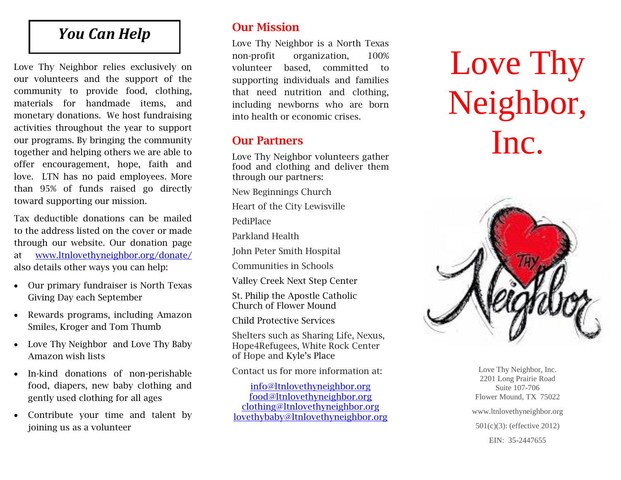# *You Can Help*

Love Thy Neighbor relies exclusively on our volunteers and the support of the community to provide food, clothing, materials for handmade items, and monetary donations. We host fundraising activities throughout the year to support our programs. By bringing the community together and helping others we are able to offer encouragement, hope, faith and love. LTN has no paid employees. More than 95% of funds raised go directly toward supporting our mission.

Tax deductible donations can be mailed to the address listed on the cover or made through our website. Our donation page at [www.ltnlovethyneighbor.org/donate/](http://www.ltnlovethyneighbor.org/donate/) also details other ways you can help:

- Our primary fundraiser is North Texas Giving Day each September
- Rewards programs, including Amazon Smiles, Kroger and Tom Thumb
- Love Thy Neighbor and Love Thy Baby Amazon wish lists
- In-kind donations of non-perishable food, diapers, new baby clothing and gently used clothing for all ages
- Contribute your time and talent by joining us as a volunteer

## **Our Mission**

Love Thy Neighbor is a North Texas non-profit organization, 100% volunteer based, committed to supporting individuals and families that need nutrition and clothing, including newborns who are born into health or economic crises.

## **Our Partners**

Love Thy Neighbor volunteers gather food and clothing and deliver them through our partners:

New Beginnings Church

Heart of the City Lewisville

PediPlace

Parkland Health

John Peter Smith Hospital

Communities in Schools

Valley Creek Next Step Center

St. Philip the Apostle Catholic Church of Flower Mound

Child Protective Services

Shelters such as Sharing Life, Nexus, Hope4Refugees, White Rock Center of Hope and Kyle's Place

Contact us for more information at:

[info@ltnlovethyneighbor.org](mailto:info@ltnlovethyneighbor.org) [food@ltnlovethyneighbor.org](mailto:food@ltnlovethyneighbor.org) [clothing@ltnlovethyneighbor.org](mailto:clothing@ltnlovethyneighbor.org) [lovethybaby@ltnlovethyneighbor.org](mailto:lovethybaby@ltnlovethyneighbor.org)

Love Thy Neighbor, Inc.



Love Thy Neighbor, Inc. 2201 Long Prairie Road Suite 107-706 Flower Mound, TX 75022 www.ltnlovethyneighbor.org 501(c)(3): (effective 2012) EIN: 35-2447655